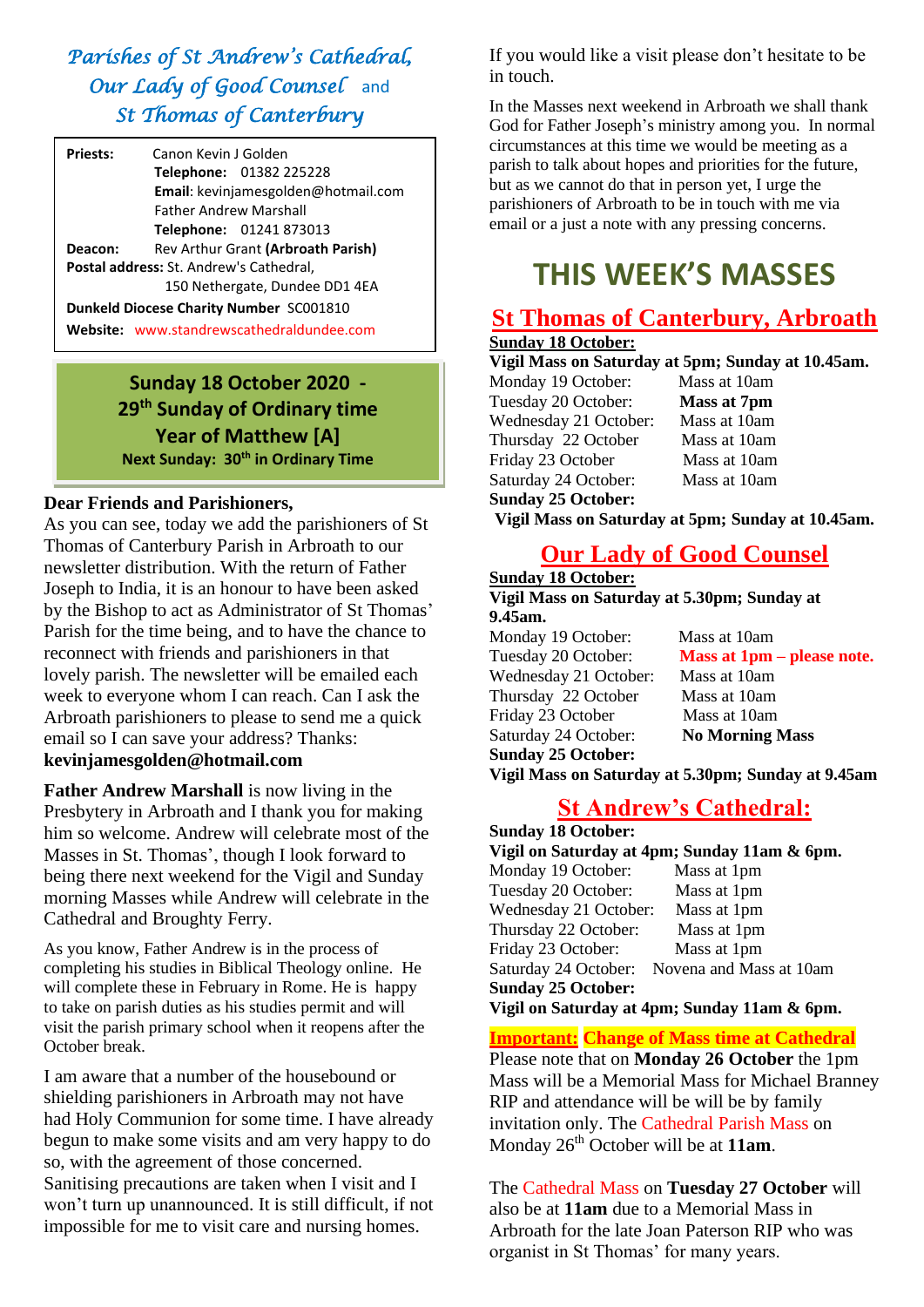# *Parishes of St Andrew's Cathedral, Our Lady of Good Counsel* and *St Thomas of Canterbury*

| <b>Priests:</b>                                | Canon Kevin J Golden                       |  |
|------------------------------------------------|--------------------------------------------|--|
|                                                | <b>Telephone: 01382 225228</b>             |  |
|                                                | <b>Email:</b> kevinjamesgolden@hotmail.com |  |
|                                                | <b>Father Andrew Marshall</b>              |  |
|                                                | Telephone: 01241 873013                    |  |
| Deacon:                                        | Rev Arthur Grant (Arbroath Parish)         |  |
| <b>Postal address: St. Andrew's Cathedral,</b> |                                            |  |
|                                                | 150 Nethergate, Dundee DD1 4EA             |  |
| Dunkeld Diocese Charity Number SC001810        |                                            |  |
|                                                | Website: www.standrewscathedraldundee.com  |  |

# **Sunday 18 October 2020 - 29 th Sunday of Ordinary time Year of Matthew [A] Next Sunday: 30th in Ordinary Time**

## **Dear Friends and Parishioners,**

As you can see, today we add the parishioners of St Thomas of Canterbury Parish in Arbroath to our newsletter distribution. With the return of Father Joseph to India, it is an honour to have been asked by the Bishop to act as Administrator of St Thomas' Parish for the time being, and to have the chance to reconnect with friends and parishioners in that lovely parish. The newsletter will be emailed each week to everyone whom I can reach. Can I ask the Arbroath parishioners to please to send me a quick email so I can save your address? Thanks: **kevinjamesgolden@hotmail.com**

**Father Andrew Marshall** is now living in the Presbytery in Arbroath and I thank you for making him so welcome. Andrew will celebrate most of the Masses in St. Thomas', though I look forward to being there next weekend for the Vigil and Sunday morning Masses while Andrew will celebrate in the Cathedral and Broughty Ferry.

As you know, Father Andrew is in the process of completing his studies in Biblical Theology online. He will complete these in February in Rome. He is happy to take on parish duties as his studies permit and will visit the parish primary school when it reopens after the October break.

I am aware that a number of the housebound or shielding parishioners in Arbroath may not have had Holy Communion for some time. I have already begun to make some visits and am very happy to do so, with the agreement of those concerned. Sanitising precautions are taken when I visit and I won't turn up unannounced. It is still difficult, if not impossible for me to visit care and nursing homes.

If you would like a visit please don't hesitate to be in touch.

In the Masses next weekend in Arbroath we shall thank God for Father Joseph's ministry among you. In normal circumstances at this time we would be meeting as a parish to talk about hopes and priorities for the future, but as we cannot do that in person yet, I urge the parishioners of Arbroath to be in touch with me via email or a just a note with any pressing concerns.

# **THIS WEEK'S MASSES**

# **St Thomas of Canterbury, Arbroath**

# **Sunday 18 October:**

### **Vigil Mass on Saturday at 5pm; Sunday at 10.45am.**

Monday 19 October: Mass at 10am Tuesday 20 October: **Mass at 7pm** Wednesday 21 October: Mass at 10am Thursday 22 October Mass at 10am Friday 23 October Mass at 10am Saturday 24 October: Mass at 10am **Sunday 25 October:**

**Vigil Mass on Saturday at 5pm; Sunday at 10.45am.** 

# **Our Lady of Good Counsel**

### **Sunday 18 October: Vigil Mass on Saturday at 5.30pm; Sunday at**

**9.45am.**  Monday 19 October: Mass at 10am Wednesday 21 October: Mass at 10am Thursday 22 October Mass at 10am Friday 23 October Mass at 10am Saturday 24 October: **No Morning Mass Sunday 25 October:**

Tuesday 20 October: **Mass at 1pm – please note.**

**Vigil Mass on Saturday at 5.30pm; Sunday at 9.45am**

# **St Andrew's Cathedral:**

| <b>Sunday 18 October:</b>                    |             |  |  |
|----------------------------------------------|-------------|--|--|
| Vigil on Saturday at 4pm; Sunday 11am & 6pm. |             |  |  |
| Monday 19 October:                           | Mass at 1pm |  |  |
| Tuesday 20 October:                          | Mass at 1pm |  |  |
| Wednesday 21 October:                        | Mass at 1pm |  |  |
| Thursday 22 October:                         | Mass at 1pm |  |  |
| Friday 23 October:                           | Mass at 1pm |  |  |
| Saturday 24 October: Novena and Mass at 10am |             |  |  |
| <b>Sunday 25 October:</b>                    |             |  |  |
| Vigil on Saturday at 4pm; Sunday 11am & 6pm. |             |  |  |

## **Important: Change of Mass time at Cathedral**

Please note that on **Monday 26 October** the 1pm Mass will be a Memorial Mass for Michael Branney RIP and attendance will be will be by family invitation only. The Cathedral Parish Mass on Monday 26<sup>th</sup> October will be at 11am.

The Cathedral Mass on **Tuesday 27 October** will also be at **11am** due to a Memorial Mass in Arbroath for the late Joan Paterson RIP who was organist in St Thomas' for many years.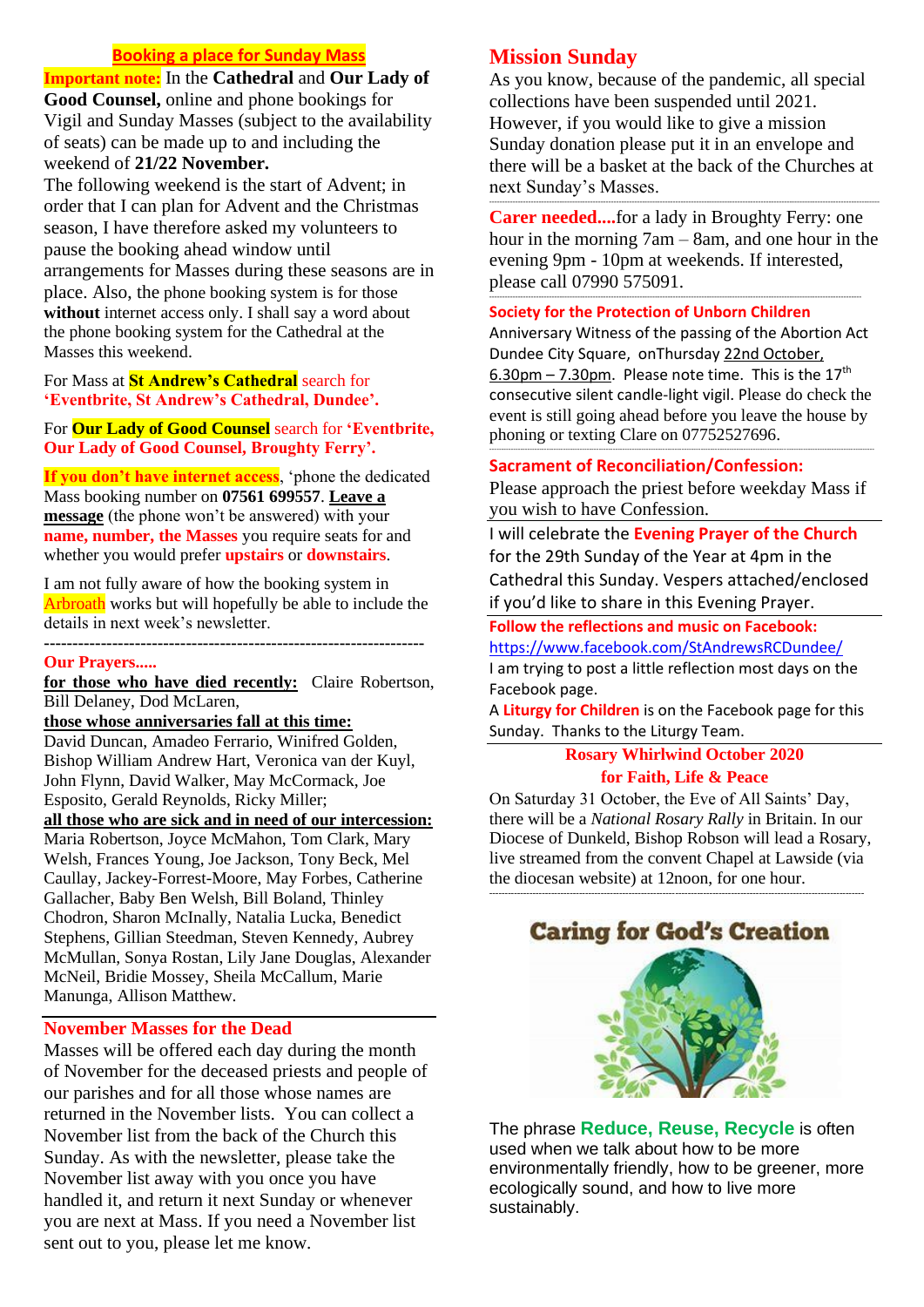## **Booking a place for Sunday Mass**

**Important note:** In the **Cathedral** and **Our Lady of Good Counsel,** online and phone bookings for Vigil and Sunday Masses (subject to the availability of seats) can be made up to and including the

# weekend of **21/22 November.**

The following weekend is the start of Advent; in order that I can plan for Advent and the Christmas season, I have therefore asked my volunteers to pause the booking ahead window until arrangements for Masses during these seasons are in place. Also, the phone booking system is for those without internet access only. I shall say a word about the phone booking system for the Cathedral at the Masses this weekend.

### For Mass at **St Andrew's Cathedral** search for **'Eventbrite, St Andrew's Cathedral, Dundee'.**

For **Our Lady of Good Counsel** search for **'Eventbrite, Our Lady of Good Counsel, Broughty Ferry'.**

**If you don't have internet access**, 'phone the dedicated Mass booking number on **07561 699557**. **Leave a message** (the phone won't be answered) with your **name, number, the Masses** you require seats for and whether you would prefer **upstairs** or **downstairs**.

I am not fully aware of how the booking system in Arbroath works but will hopefully be able to include the details in next week's newsletter.

**-------------------------------------------------------------------**

#### **Our Prayers.....**

**for those who have died recently:** Claire Robertson, Bill Delaney, Dod McLaren,

**those whose anniversaries fall at this time:**

David Duncan, Amadeo Ferrario, Winifred Golden, Bishop William Andrew Hart, Veronica van der Kuyl, John Flynn, David Walker, May McCormack, Joe Esposito, Gerald Reynolds, Ricky Miller;

**all those who are sick and in need of our intercession:** 

Maria Robertson, Joyce McMahon, Tom Clark, Mary Welsh, Frances Young, Joe Jackson, Tony Beck, Mel Caullay, Jackey-Forrest-Moore, May Forbes, Catherine Gallacher, Baby Ben Welsh, Bill Boland, Thinley Chodron, Sharon McInally, Natalia Lucka, Benedict Stephens, Gillian Steedman, Steven Kennedy, Aubrey McMullan, Sonya Rostan, Lily Jane Douglas, Alexander McNeil, Bridie Mossey, Sheila McCallum, Marie Manunga, Allison Matthew.

### **November Masses for the Dead**

Masses will be offered each day during the month of November for the deceased priests and people of our parishes and for all those whose names are returned in the November lists. You can collect a November list from the back of the Church this Sunday. As with the newsletter, please take the November list away with you once you have handled it, and return it next Sunday or whenever you are next at Mass. If you need a November list sent out to you, please let me know.

# **Mission Sunday**

As you know, because of the pandemic, all special collections have been suspended until 2021. However, if you would like to give a mission Sunday donation please put it in an envelope and there will be a basket at the back of the Churches at next Sunday's Masses.

**Carer needed....**for a lady in Broughty Ferry: one hour in the morning 7am – 8am, and one hour in the evening 9pm - 10pm at weekends. If interested, please call 07990 575091.

------------------------------------------------------------------------------------------------------------------------------------------------

-------------------------------------------------------------------------------------------------------------------------------------------------------

#### **Society for the Protection of Unborn Children**

Anniversary Witness of the passing of the Abortion Act Dundee City Square, onThursday 22nd October, 6.30pm – 7.30pm. Please note time. This is the  $17<sup>th</sup>$ consecutive silent candle-light vigil. Please do check the event is still going ahead before you leave the house by phoning or texting Clare on 07752527696.

### **Sacrament of Reconciliation/Confession:**

Please approach the priest before weekday Mass if you wish to have Confession.

------------------------------------------------------------------------------------------------------------------------------------------------------------------

I will celebrate the **Evening Prayer of the Church** for the 29th Sunday of the Year at 4pm in the Cathedral this Sunday. Vespers attached/enclosed if you'd like to share in this Evening Prayer.

### **Follow the reflections and music on Facebook:**

<https://www.facebook.com/StAndrewsRCDundee/> I am trying to post a little reflection most days on the

Facebook page. A **Liturgy for Children** is on the Facebook page for this

Sunday. Thanks to the Liturgy Team.

### **Rosary Whirlwind October 2020 for Faith, Life & Peace**

On Saturday 31 October, the Eve of All Saints' Day, there will be a *National Rosary Rally* in Britain. In our Diocese of Dunkeld, Bishop Robson will lead a Rosary, live streamed from the convent Chapel at Lawside (via the diocesan website) at 12noon, for one hour.

-------------------------------------------------------------------------------------------------------------------------



The phrase **Reduce, Reuse, Recycle** is often used when we talk about how to be more environmentally friendly, how to be greener, more ecologically sound, and how to live more sustainably.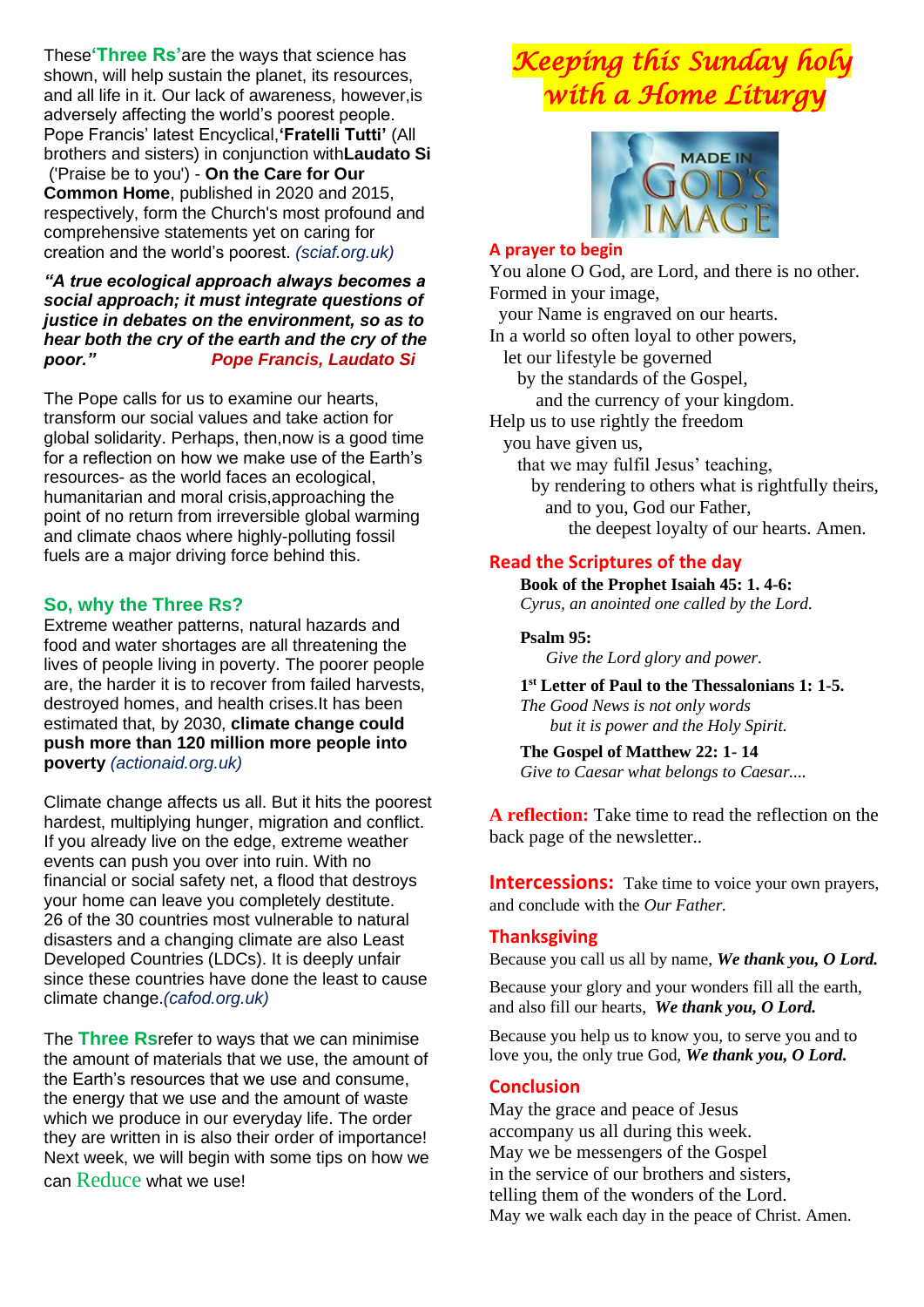These**'Three Rs'**are the ways that science has shown, will help sustain the planet, its resources, and all life in it. Our lack of awareness, however,is adversely affecting the world's poorest people. Pope Francis' latest Encyclical,**'Fratelli Tutti'** (All brothers and sisters) in conjunction with**Laudato Si** ('Praise be to you') - **On the Care for Our Common Home**, published in 2020 and 2015, respectively, form the Church's most profound and comprehensive statements yet on caring for creation and the world's poorest. *(sciaf.org.uk)*

### *"A true ecological approach always becomes a social approach; it must integrate questions of justice in debates on the environment, so as to hear both the cry of the earth and the cry of the poor." Pope Francis, Laudato Si*

The Pope calls for us to examine our hearts, transform our social values and take action for global solidarity. Perhaps, then,now is a good time for a reflection on how we make use of the Earth's resources- as the world faces an ecological, humanitarian and moral crisis,approaching the point of no return from irreversible global warming and climate chaos where highly-polluting fossil fuels are a major driving force behind this.

# **So, why the Three Rs?**

Extreme weather patterns, natural hazards and food and water shortages are all threatening the lives of people living in poverty. The poorer people are, the harder it is to recover from failed harvests, destroyed homes, and health crises.It has been estimated that, by 2030, **climate change could push more than 120 million more people into poverty** *(actionaid.org.uk)*

Climate change affects us all. But it hits the poorest hardest, multiplying hunger, migration and conflict. If you already live on the edge, extreme weather events can push you over into ruin. With no financial or social safety net, a flood that destroys your home can leave you completely destitute. 26 of the 30 countries most vulnerable to natural disasters and a changing climate are also Least Developed Countries (LDCs). It is deeply unfair since these countries have done the least to cause climate change.*(cafod.org.uk)*

The **Three Rs**refer to ways that we can minimise the amount of materials that we use, the amount of the Earth's resources that we use and consume, the energy that we use and the amount of waste which we produce in our everyday life. The order they are written in is also their order of importance! Next week, we will begin with some tips on how we can Reduce what we use!

# *Keeping this Sunday holy with a Home Liturgy*



### **A prayer to begin**

You alone O God, are Lord, and there is no other. Formed in your image, your Name is engraved on our hearts. In a world so often loyal to other powers, let our lifestyle be governed by the standards of the Gospel, and the currency of your kingdom. Help us to use rightly the freedom you have given us, that we may fulfil Jesus' teaching, by rendering to others what is rightfully theirs, and to you, God our Father, the deepest loyalty of our hearts. Amen.

# **Read the Scriptures of the day**

**Book of the Prophet Isaiah 45: 1. 4-6:**  *Cyrus, an anointed one called by the Lord.*

## **Psalm 95:**

 *Give the Lord glory and power.*

**1 st Letter of Paul to the Thessalonians 1: 1-5.** *The Good News is not only words but it is power and the Holy Spirit.*

**The Gospel of Matthew 22: 1- 14**  *Give to Caesar what belongs to Caesar....*

**A reflection:** Take time to read the reflection on the back page of the newsletter..

**Intercessions:** Take time to voice your own prayers, and conclude with the *Our Father.*

## **Thanksgiving**

Because you call us all by name, *We thank you, O Lord.*

Because your glory and your wonders fill all the earth, and also fill our hearts, *We thank you, O Lord.*

Because you help us to know you, to serve you and to love you, the only true God, *We thank you, O Lord.*

## **Conclusion**

May the grace and peace of Jesus accompany us all during this week. May we be messengers of the Gospel in the service of our brothers and sisters, telling them of the wonders of the Lord. May we walk each day in the peace of Christ. Amen.